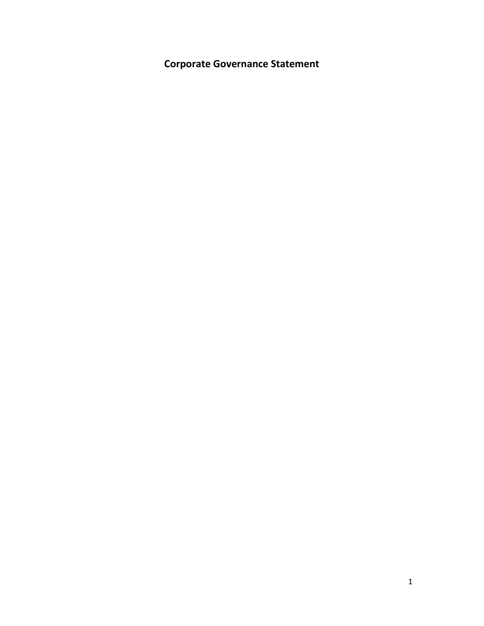**Corporate Governance Statement**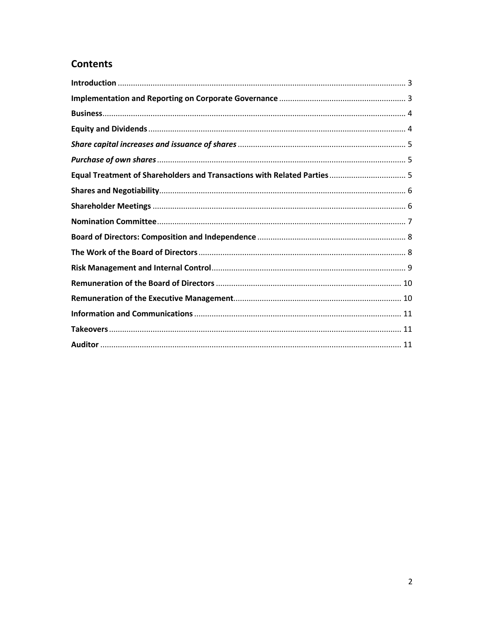# **Contents**

| Equal Treatment of Shareholders and Transactions with Related Parties 5 |  |
|-------------------------------------------------------------------------|--|
|                                                                         |  |
|                                                                         |  |
|                                                                         |  |
|                                                                         |  |
|                                                                         |  |
|                                                                         |  |
|                                                                         |  |
|                                                                         |  |
|                                                                         |  |
|                                                                         |  |
|                                                                         |  |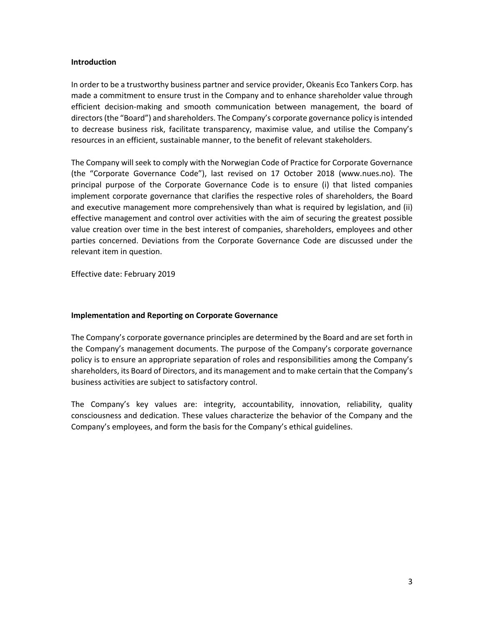#### <span id="page-2-0"></span>**Introduction**

In order to be a trustworthy business partner and service provider, Okeanis Eco Tankers Corp. has made a commitment to ensure trust in the Company and to enhance shareholder value through efficient decision-making and smooth communication between management, the board of directors (the "Board") and shareholders. The Company's corporate governance policy is intended to decrease business risk, facilitate transparency, maximise value, and utilise the Company's resources in an efficient, sustainable manner, to the benefit of relevant stakeholders.

The Company will seek to comply with the Norwegian Code of Practice for Corporate Governance (the "Corporate Governance Code"), last revised on 17 October 2018 (www.nues.no). The principal purpose of the Corporate Governance Code is to ensure (i) that listed companies implement corporate governance that clarifies the respective roles of shareholders, the Board and executive management more comprehensively than what is required by legislation, and (ii) effective management and control over activities with the aim of securing the greatest possible value creation over time in the best interest of companies, shareholders, employees and other parties concerned. Deviations from the Corporate Governance Code are discussed under the relevant item in question.

Effective date: February 2019

#### <span id="page-2-1"></span>**Implementation and Reporting on Corporate Governance**

The Company's corporate governance principles are determined by the Board and are set forth in the Company's management documents. The purpose of the Company's corporate governance policy is to ensure an appropriate separation of roles and responsibilities among the Company's shareholders, its Board of Directors, and its management and to make certain that the Company's business activities are subject to satisfactory control.

The Company's key values are: integrity, accountability, innovation, reliability, quality consciousness and dedication. These values characterize the behavior of the Company and the Company's employees, and form the basis for the Company's ethical guidelines.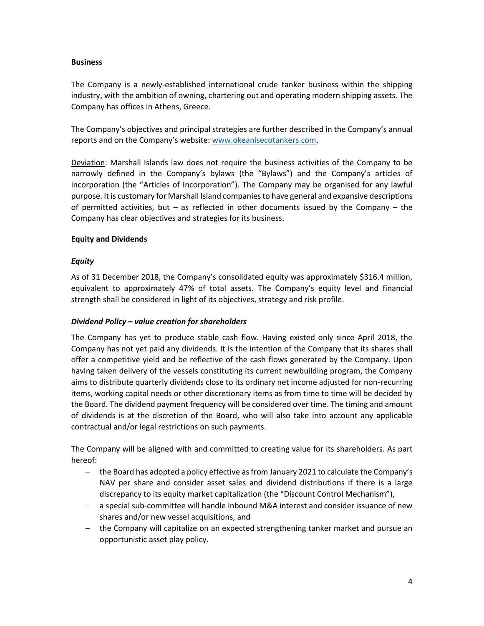## <span id="page-3-0"></span>**Business**

The Company is a newly-established international crude tanker business within the shipping industry, with the ambition of owning, chartering out and operating modern shipping assets. The Company has offices in Athens, Greece.

The Company's objectives and principal strategies are further described in the Company's annual reports and on the Company's website: [www.okeanisecotankers.com.](http://www.okeanisecotankers.com/)

Deviation: Marshall Islands law does not require the business activities of the Company to be narrowly defined in the Company's bylaws (the "Bylaws") and the Company's articles of incorporation (the "Articles of Incorporation"). The Company may be organised for any lawful purpose. It is customary for Marshall Island companies to have general and expansive descriptions of permitted activities, but – as reflected in other documents issued by the Company – the Company has clear objectives and strategies for its business.

## <span id="page-3-1"></span>**Equity and Dividends**

## *Equity*

As of 31 December 2018, the Company's consolidated equity was approximately \$316.4 million, equivalent to approximately 47% of total assets. The Company's equity level and financial strength shall be considered in light of its objectives, strategy and risk profile.

#### *Dividend Policy – value creation for shareholders*

The Company has yet to produce stable cash flow. Having existed only since April 2018, the Company has not yet paid any dividends. It is the intention of the Company that its shares shall offer a competitive yield and be reflective of the cash flows generated by the Company. Upon having taken delivery of the vessels constituting its current newbuilding program, the Company aims to distribute quarterly dividends close to its ordinary net income adjusted for non-recurring items, working capital needs or other discretionary items as from time to time will be decided by the Board. The dividend payment frequency will be considered over time. The timing and amount of dividends is at the discretion of the Board, who will also take into account any applicable contractual and/or legal restrictions on such payments.

The Company will be aligned with and committed to creating value for its shareholders. As part hereof:

- the Board has adopted a policy effective as from January 2021 to calculate the Company's NAV per share and consider asset sales and dividend distributions if there is a large discrepancy to its equity market capitalization (the "Discount Control Mechanism"),
- a special sub-committee will handle inbound M&A interest and consider issuance of new shares and/or new vessel acquisitions, and
- the Company will capitalize on an expected strengthening tanker market and pursue an opportunistic asset play policy.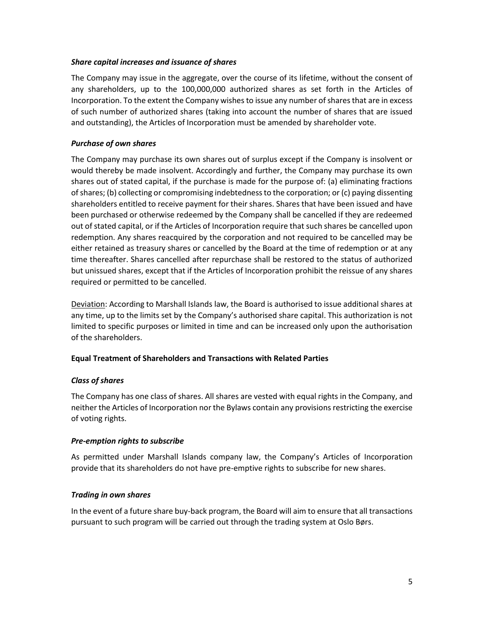## <span id="page-4-0"></span>*Share capital increases and issuance of shares*

The Company may issue in the aggregate, over the course of its lifetime, without the consent of any shareholders, up to the 100,000,000 authorized shares as set forth in the Articles of Incorporation. To the extent the Company wishes to issue any number of shares that are in excess of such number of authorized shares (taking into account the number of shares that are issued and outstanding), the Articles of Incorporation must be amended by shareholder vote.

# <span id="page-4-1"></span>*Purchase of own shares*

The Company may purchase its own shares out of surplus except if the Company is insolvent or would thereby be made insolvent. Accordingly and further, the Company may purchase its own shares out of stated capital, if the purchase is made for the purpose of: (a) eliminating fractions of shares; (b) collecting or compromising indebtedness to the corporation; or (c) paying dissenting shareholders entitled to receive payment for their shares. Shares that have been issued and have been purchased or otherwise redeemed by the Company shall be cancelled if they are redeemed out of stated capital, or if the Articles of Incorporation require that such shares be cancelled upon redemption. Any shares reacquired by the corporation and not required to be cancelled may be either retained as treasury shares or cancelled by the Board at the time of redemption or at any time thereafter. Shares cancelled after repurchase shall be restored to the status of authorized but unissued shares, except that if the Articles of Incorporation prohibit the reissue of any shares required or permitted to be cancelled.

Deviation: According to Marshall Islands law, the Board is authorised to issue additional shares at any time, up to the limits set by the Company's authorised share capital. This authorization is not limited to specific purposes or limited in time and can be increased only upon the authorisation of the shareholders.

# <span id="page-4-2"></span>**Equal Treatment of Shareholders and Transactions with Related Parties**

# *Class of shares*

The Company has one class of shares. All shares are vested with equal rights in the Company, and neither the Articles of Incorporation nor the Bylaws contain any provisions restricting the exercise of voting rights.

#### *Pre-emption rights to subscribe*

As permitted under Marshall Islands company law, the Company's Articles of Incorporation provide that its shareholders do not have pre-emptive rights to subscribe for new shares.

#### *Trading in own shares*

In the event of a future share buy-back program, the Board will aim to ensure that all transactions pursuant to such program will be carried out through the trading system at Oslo Børs.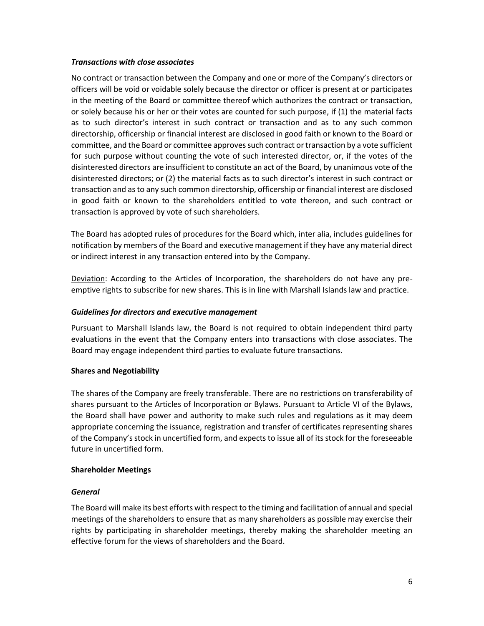#### *Transactions with close associates*

No contract or transaction between the Company and one or more of the Company's directors or officers will be void or voidable solely because the director or officer is present at or participates in the meeting of the Board or committee thereof which authorizes the contract or transaction, or solely because his or her or their votes are counted for such purpose, if (1) the material facts as to such director's interest in such contract or transaction and as to any such common directorship, officership or financial interest are disclosed in good faith or known to the Board or committee, and the Board or committee approves such contract or transaction by a vote sufficient for such purpose without counting the vote of such interested director, or, if the votes of the disinterested directors are insufficient to constitute an act of the Board, by unanimous vote of the disinterested directors; or (2) the material facts as to such director's interest in such contract or transaction and as to any such common directorship, officership or financial interest are disclosed in good faith or known to the shareholders entitled to vote thereon, and such contract or transaction is approved by vote of such shareholders.

The Board has adopted rules of procedures for the Board which, inter alia, includes guidelines for notification by members of the Board and executive management if they have any material direct or indirect interest in any transaction entered into by the Company.

Deviation: According to the Articles of Incorporation, the shareholders do not have any preemptive rights to subscribe for new shares. This is in line with Marshall Islands law and practice.

## *Guidelines for directors and executive management*

Pursuant to Marshall Islands law, the Board is not required to obtain independent third party evaluations in the event that the Company enters into transactions with close associates. The Board may engage independent third parties to evaluate future transactions.

#### <span id="page-5-0"></span>**Shares and Negotiability**

The shares of the Company are freely transferable. There are no restrictions on transferability of shares pursuant to the Articles of Incorporation or Bylaws. Pursuant to Article VI of the Bylaws, the Board shall have power and authority to make such rules and regulations as it may deem appropriate concerning the issuance, registration and transfer of certificates representing shares of the Company's stock in uncertified form, and expects to issue all of its stock for the foreseeable future in uncertified form.

#### <span id="page-5-1"></span>**Shareholder Meetings**

#### *General*

The Board will make its best efforts with respect to the timing and facilitation of annual and special meetings of the shareholders to ensure that as many shareholders as possible may exercise their rights by participating in shareholder meetings, thereby making the shareholder meeting an effective forum for the views of shareholders and the Board.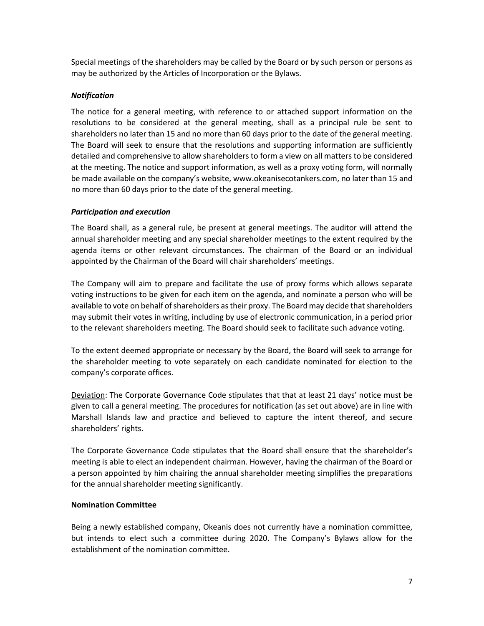Special meetings of the shareholders may be called by the Board or by such person or persons as may be authorized by the Articles of Incorporation or the Bylaws.

# *Notification*

The notice for a general meeting, with reference to or attached support information on the resolutions to be considered at the general meeting, shall as a principal rule be sent to shareholders no later than 15 and no more than 60 days prior to the date of the general meeting. The Board will seek to ensure that the resolutions and supporting information are sufficiently detailed and comprehensive to allow shareholders to form a view on all matters to be considered at the meeting. The notice and support information, as well as a proxy voting form, will normally be made available on the company's website, www.okeanisecotankers.com, no later than 15 and no more than 60 days prior to the date of the general meeting.

#### *Participation and execution*

The Board shall, as a general rule, be present at general meetings. The auditor will attend the annual shareholder meeting and any special shareholder meetings to the extent required by the agenda items or other relevant circumstances. The chairman of the Board or an individual appointed by the Chairman of the Board will chair shareholders' meetings.

The Company will aim to prepare and facilitate the use of proxy forms which allows separate voting instructions to be given for each item on the agenda, and nominate a person who will be available to vote on behalf of shareholders as their proxy. The Board may decide that shareholders may submit their votes in writing, including by use of electronic communication, in a period prior to the relevant shareholders meeting. The Board should seek to facilitate such advance voting.

To the extent deemed appropriate or necessary by the Board, the Board will seek to arrange for the shareholder meeting to vote separately on each candidate nominated for election to the company's corporate offices.

Deviation: The Corporate Governance Code stipulates that that at least 21 days' notice must be given to call a general meeting. The procedures for notification (as set out above) are in line with Marshall Islands law and practice and believed to capture the intent thereof, and secure shareholders' rights.

The Corporate Governance Code stipulates that the Board shall ensure that the shareholder's meeting is able to elect an independent chairman. However, having the chairman of the Board or a person appointed by him chairing the annual shareholder meeting simplifies the preparations for the annual shareholder meeting significantly.

#### <span id="page-6-0"></span>**Nomination Committee**

Being a newly established company, Okeanis does not currently have a nomination committee, but intends to elect such a committee during 2020. The Company's Bylaws allow for the establishment of the nomination committee.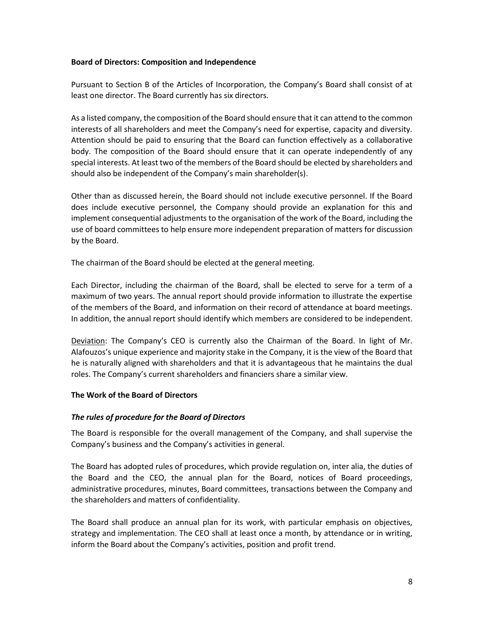#### <span id="page-7-0"></span>**Board of Directors: Composition and Independence**

Pursuant to Section B of the Articles of Incorporation, the Company's Board shall consist of at least one director. The Board currently has six directors.

As a listed company, the composition of the Board should ensure that it can attend to the common interests of all shareholders and meet the Company's need for expertise, capacity and diversity. Attention should be paid to ensuring that the Board can function effectively as a collaborative body. The composition of the Board should ensure that it can operate independently of any special interests. At least two of the members of the Board should be elected by shareholders and should also be independent of the Company's main shareholder(s).

Other than as discussed herein, the Board should not include executive personnel. If the Board does include executive personnel, the Company should provide an explanation for this and implement consequential adjustments to the organisation of the work of the Board, including the use of board committees to help ensure more independent preparation of matters for discussion by the Board.

The chairman of the Board should be elected at the general meeting.

Each Director, including the chairman of the Board, shall be elected to serve for a term of a maximum of two years. The annual report should provide information to illustrate the expertise of the members of the Board, and information on their record of attendance at board meetings. In addition, the annual report should identify which members are considered to be independent.

Deviation: The Company's CEO is currently also the Chairman of the Board. In light of Mr. Alafouzos's unique experience and majority stake in the Company, it is the view of the Board that he is naturally aligned with shareholders and that it is advantageous that he maintains the dual roles. The Company's current shareholders and financiers share a similar view.

#### <span id="page-7-1"></span>**The Work of the Board of Directors**

#### *The rules of procedure for the Board of Directors*

The Board is responsible for the overall management of the Company, and shall supervise the Company's business and the Company's activities in general.

The Board has adopted rules of procedures, which provide regulation on, inter alia, the duties of the Board and the CEO, the annual plan for the Board, notices of Board proceedings, administrative procedures, minutes, Board committees, transactions between the Company and the shareholders and matters of confidentiality.

The Board shall produce an annual plan for its work, with particular emphasis on objectives, strategy and implementation. The CEO shall at least once a month, by attendance or in writing, inform the Board about the Company's activities, position and profit trend.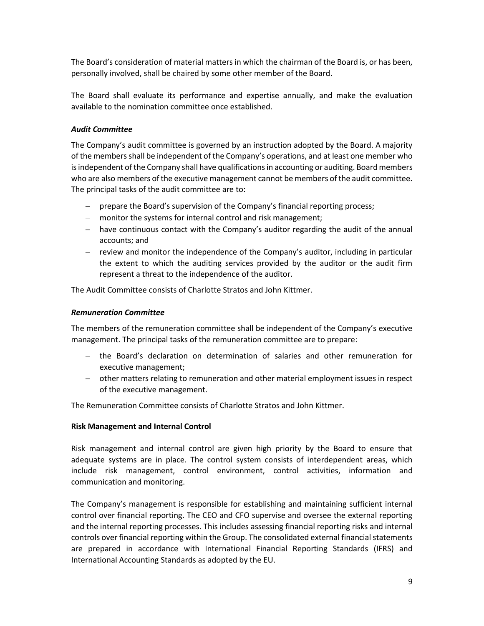The Board's consideration of material matters in which the chairman of the Board is, or has been, personally involved, shall be chaired by some other member of the Board.

The Board shall evaluate its performance and expertise annually, and make the evaluation available to the nomination committee once established.

# *Audit Committee*

The Company's audit committee is governed by an instruction adopted by the Board. A majority of the members shall be independent of the Company's operations, and at least one member who is independent of the Company shall have qualifications in accounting or auditing. Board members who are also members of the executive management cannot be members of the audit committee. The principal tasks of the audit committee are to:

- prepare the Board's supervision of the Company's financial reporting process;
- monitor the systems for internal control and risk management;
- have continuous contact with the Company's auditor regarding the audit of the annual accounts; and
- $-$  review and monitor the independence of the Company's auditor, including in particular the extent to which the auditing services provided by the auditor or the audit firm represent a threat to the independence of the auditor.

The Audit Committee consists of Charlotte Stratos and John Kittmer.

#### *Remuneration Committee*

The members of the remuneration committee shall be independent of the Company's executive management. The principal tasks of the remuneration committee are to prepare:

- the Board's declaration on determination of salaries and other remuneration for executive management;
- other matters relating to remuneration and other material employment issues in respect of the executive management.

The Remuneration Committee consists of Charlotte Stratos and John Kittmer.

#### <span id="page-8-0"></span>**Risk Management and Internal Control**

Risk management and internal control are given high priority by the Board to ensure that adequate systems are in place. The control system consists of interdependent areas, which include risk management, control environment, control activities, information and communication and monitoring.

The Company's management is responsible for establishing and maintaining sufficient internal control over financial reporting. The CEO and CFO supervise and oversee the external reporting and the internal reporting processes. This includes assessing financial reporting risks and internal controls over financial reporting within the Group. The consolidated external financial statements are prepared in accordance with International Financial Reporting Standards (IFRS) and International Accounting Standards as adopted by the EU.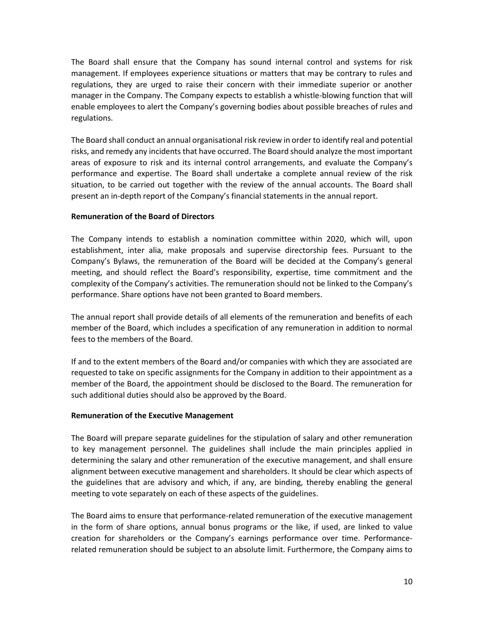The Board shall ensure that the Company has sound internal control and systems for risk management. If employees experience situations or matters that may be contrary to rules and regulations, they are urged to raise their concern with their immediate superior or another manager in the Company. The Company expects to establish a whistle-blowing function that will enable employees to alert the Company's governing bodies about possible breaches of rules and regulations.

The Board shall conduct an annual organisational risk review in order to identify real and potential risks, and remedy any incidents that have occurred. The Board should analyze the most important areas of exposure to risk and its internal control arrangements, and evaluate the Company's performance and expertise. The Board shall undertake a complete annual review of the risk situation, to be carried out together with the review of the annual accounts. The Board shall present an in-depth report of the Company's financial statements in the annual report.

## <span id="page-9-0"></span>**Remuneration of the Board of Directors**

The Company intends to establish a nomination committee within 2020, which will, upon establishment, inter alia, make proposals and supervise directorship fees. Pursuant to the Company's Bylaws, the remuneration of the Board will be decided at the Company's general meeting, and should reflect the Board's responsibility, expertise, time commitment and the complexity of the Company's activities. The remuneration should not be linked to the Company's performance. Share options have not been granted to Board members.

The annual report shall provide details of all elements of the remuneration and benefits of each member of the Board, which includes a specification of any remuneration in addition to normal fees to the members of the Board.

If and to the extent members of the Board and/or companies with which they are associated are requested to take on specific assignments for the Company in addition to their appointment as a member of the Board, the appointment should be disclosed to the Board. The remuneration for such additional duties should also be approved by the Board.

#### <span id="page-9-1"></span>**Remuneration of the Executive Management**

The Board will prepare separate guidelines for the stipulation of salary and other remuneration to key management personnel. The guidelines shall include the main principles applied in determining the salary and other remuneration of the executive management, and shall ensure alignment between executive management and shareholders. It should be clear which aspects of the guidelines that are advisory and which, if any, are binding, thereby enabling the general meeting to vote separately on each of these aspects of the guidelines.

The Board aims to ensure that performance-related remuneration of the executive management in the form of share options, annual bonus programs or the like, if used, are linked to value creation for shareholders or the Company's earnings performance over time. Performancerelated remuneration should be subject to an absolute limit. Furthermore, the Company aims to